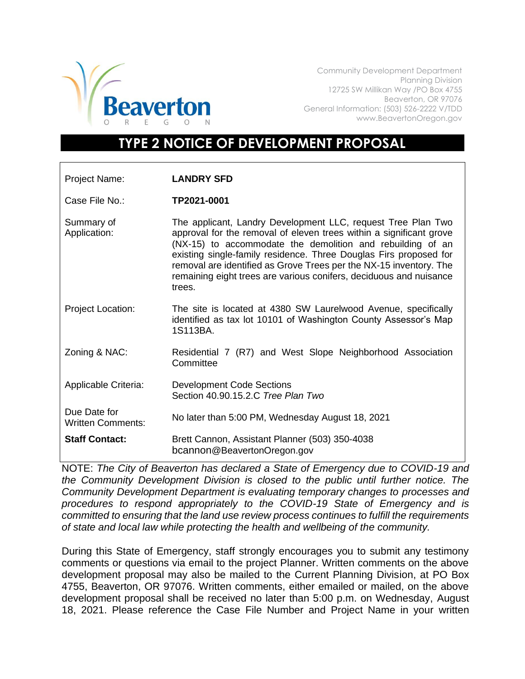

Community Development Department Planning Division 12725 SW Millikan Way /PO Box 4755 Beaverton, OR 97076 General Information: (503) 526-2222 V/TDD www.BeavertonOregon.gov

## **TYPE 2 NOTICE OF DEVELOPMENT PROPOSAL**

| Project Name:                            | <b>LANDRY SFD</b>                                                                                                                                                                                                                                                                                                                                                                                                            |
|------------------------------------------|------------------------------------------------------------------------------------------------------------------------------------------------------------------------------------------------------------------------------------------------------------------------------------------------------------------------------------------------------------------------------------------------------------------------------|
| Case File No.:                           | TP2021-0001                                                                                                                                                                                                                                                                                                                                                                                                                  |
| Summary of<br>Application:               | The applicant, Landry Development LLC, request Tree Plan Two<br>approval for the removal of eleven trees within a significant grove<br>(NX-15) to accommodate the demolition and rebuilding of an<br>existing single-family residence. Three Douglas Firs proposed for<br>removal are identified as Grove Trees per the NX-15 inventory. The<br>remaining eight trees are various conifers, deciduous and nuisance<br>trees. |
| <b>Project Location:</b>                 | The site is located at 4380 SW Laurelwood Avenue, specifically<br>identified as tax lot 10101 of Washington County Assessor's Map<br>1S113BA.                                                                                                                                                                                                                                                                                |
| Zoning & NAC:                            | Residential 7 (R7) and West Slope Neighborhood Association<br>Committee                                                                                                                                                                                                                                                                                                                                                      |
| Applicable Criteria:                     | <b>Development Code Sections</b><br>Section 40.90.15.2.C Tree Plan Two                                                                                                                                                                                                                                                                                                                                                       |
| Due Date for<br><b>Written Comments:</b> | No later than 5:00 PM, Wednesday August 18, 2021                                                                                                                                                                                                                                                                                                                                                                             |
| <b>Staff Contact:</b>                    | Brett Cannon, Assistant Planner (503) 350-4038<br>bcannon@BeavertonOregon.gov                                                                                                                                                                                                                                                                                                                                                |

NOTE: *The City of Beaverton has declared a State of Emergency due to COVID-19 and the Community Development Division is closed to the public until further notice. The Community Development Department is evaluating temporary changes to processes and procedures to respond appropriately to the COVID-19 State of Emergency and is committed to ensuring that the land use review process continues to fulfill the requirements of state and local law while protecting the health and wellbeing of the community.*

During this State of Emergency, staff strongly encourages you to submit any testimony comments or questions via email to the project Planner. Written comments on the above development proposal may also be mailed to the Current Planning Division, at PO Box 4755, Beaverton, OR 97076. Written comments, either emailed or mailed, on the above development proposal shall be received no later than 5:00 p.m. on Wednesday, August 18, 2021. Please reference the Case File Number and Project Name in your written